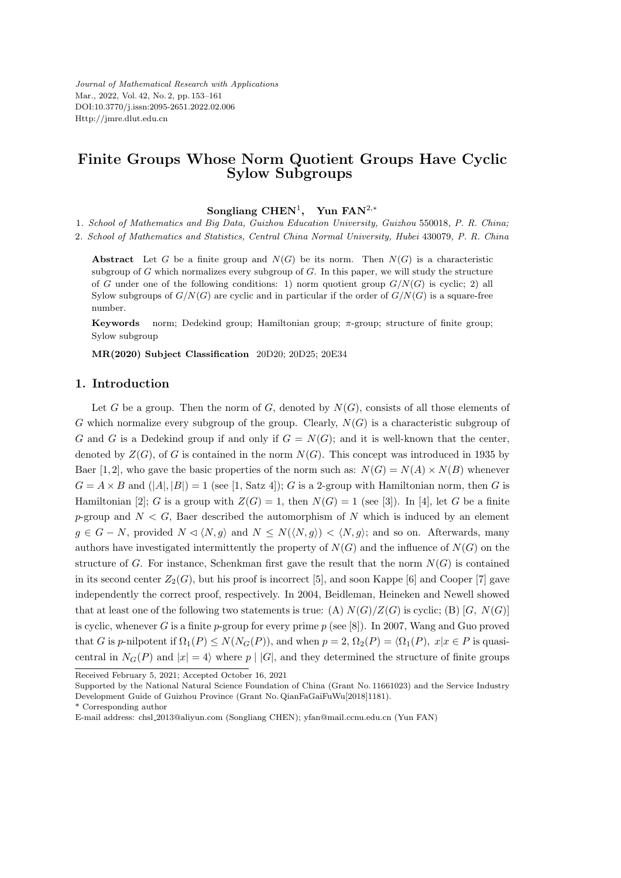*Journal of Mathematical Research with Applications* Mar., 2022, Vol. 42, No. 2, pp. 153–161 DOI:10.3770/j.issn:2095-2651.2022.02.006 Http://jmre.dlut.edu.cn

# **Finite Groups Whose Norm Quotient Groups Have Cyclic Sylow Subgroups**

### **Songliang CHEN**<sup>1</sup> **, Yun FAN**<sup>2</sup>*,<sup>∗</sup>*

1*. School of Mathematics and Big Data, Guizhou Education University, Guizhou* 550018*, P. R. China;*

2*. School of Mathematics and Statistics, Central China Normal University, Hubei* 430079*, P. R. China*

**Abstract** Let *G* be a finite group and  $N(G)$  be its norm. Then  $N(G)$  is a characteristic subgroup of  $G$  which normalizes every subgroup of  $G$ . In this paper, we will study the structure of *G* under one of the following conditions: 1) norm quotient group  $G/N(G)$  is cyclic; 2) all Sylow subgroups of  $G/N(G)$  are cyclic and in particular if the order of  $G/N(G)$  is a square-free number.

**Keywords** norm; Dedekind group; Hamiltonian group; *π*-group; structure of finite group; Sylow subgroup

**MR(2020) Subject Classification** 20D20; 20D25; 20E34

### **1. Introduction**

Let *G* be a group. Then the norm of *G*, denoted by  $N(G)$ , consists of all those elements of *G* which normalize every subgroup of the group. Clearly,  $N(G)$  is a characteristic subgroup of *G* and *G* is a Dedekind group if and only if  $G = N(G)$ ; and it is well-known that the center, denoted by  $Z(G)$ , of *G* is contained in the norm  $N(G)$ . This concept was introduced in 1935 by Baer [1, 2], who gave the basic properties of the norm such as:  $N(G) = N(A) \times N(B)$  whenever  $G = A \times B$  and  $(|A|, |B|) = 1$  (see [1, Satz 4]); *G* is a 2-group with Hamiltonian norm, then *G* is Hamiltonian [2]; *G* is a group with  $Z(G) = 1$ , then  $N(G) = 1$  (see [3]). In [4], let *G* be a finite *p*-group and  $N < G$ , Baer described the automorphism of  $N$  which is induced by an element *g* ∈ *G* − *N*, provided  $N \lhd \langle N, q \rangle$  and  $N \lhd \langle N(\langle N, q \rangle) \lhd \langle N, q \rangle$ ; and so on. Afterwards, many authors have investigated intermittently the property of  $N(G)$  and the influence of  $N(G)$  on the structure of  $G$ . For instance, Schenkman first gave the result that the norm  $N(G)$  is contained in its second center  $Z_2(G)$ , but his proof is incorrect [5], and soon Kappe [6] and Cooper [7] gave independently the correct proof, respectively. In 2004, Beidleman, Heineken and Newell showed that at least one of the following two statements is true: (A)  $N(G)/Z(G)$  is cyclic; (B) [*G, N(G*)] is cyclic, whenever *G* is a finite *p*-group for every prime *p* (see [8]). In 2007, Wang and Guo proved that *G* is *p*-nilpotent if  $\Omega_1(P) \leq N(N_G(P))$ , and when  $p = 2$ ,  $\Omega_2(P) = \langle \Omega_1(P), x | x \in P$  is quasicentral in  $N_G(P)$  and  $|x| = 4$ *)* where  $p \mid |G|$ , and they determined the structure of finite groups

Received February 5, 2021; Accepted October 16, 2021

Supported by the National Natural Science Foundation of China (Grant No. 11661023) and the Service Industry Development Guide of Guizhou Province (Grant No. QianFaGaiFuWu[2018]1181).

<sup>\*</sup> Corresponding author

E-mail address: chsl 2013@aliyun.com (Songliang CHEN); yfan@mail.ccnu.edu.cn (Yun FAN)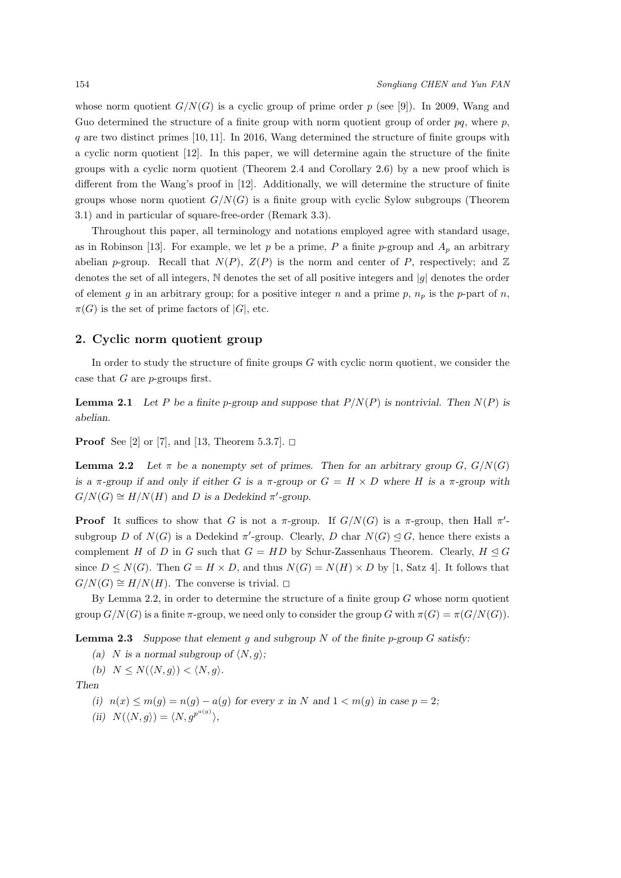whose norm quotient  $G/N(G)$  is a cyclic group of prime order p (see [9]). In 2009, Wang and Guo determined the structure of a finite group with norm quotient group of order *pq*, where *p*, *q* are two distinct primes [10, 11]. In 2016, Wang determined the structure of finite groups with a cyclic norm quotient [12]. In this paper, we will determine again the structure of the finite groups with a cyclic norm quotient (Theorem 2.4 and Corollary 2.6) by a new proof which is different from the Wang's proof in [12]. Additionally, we will determine the structure of finite groups whose norm quotient  $G/N(G)$  is a finite group with cyclic Sylow subgroups (Theorem 3.1) and in particular of square-free-order (Remark 3.3).

Throughout this paper, all terminology and notations employed agree with standard usage, as in Robinson [13]. For example, we let p be a prime, P a finite p-group and  $A_p$  an arbitrary abelian *p*-group. Recall that  $N(P)$ ,  $Z(P)$  is the norm and center of P, respectively; and  $Z$ denotes the set of all integers, N denotes the set of all positive integers and *|g|* denotes the order of element *g* in an arbitrary group; for a positive integer *n* and a prime *p*,  $n_p$  is the *p*-part of *n*,  $\pi(G)$  is the set of prime factors of *|G|*, etc.

### **2. Cyclic norm quotient group**

In order to study the structure of finite groups *G* with cyclic norm quotient, we consider the case that *G* are *p*-groups first.

**Lemma 2.1** *Let P be a finite p*-group and suppose that  $P/N(P)$  is nontrivial. Then  $N(P)$  is *abelian.*

**Proof** See [2] or [7], and [13, Theorem 5.3.7].  $\Box$ 

**Lemma 2.2** Let  $\pi$  be a nonempty set of primes. Then for an arbitrary group *G*,  $G/N(G)$ *is a*  $\pi$ -group *if and only if either G is a*  $\pi$ -group or  $G = H \times D$  where *H is a*  $\pi$ -group with  $G/N(G) \cong H/N(H)$  *and D is a Dedekind*  $\pi'$ -group.

**Proof** It suffices to show that *G* is not a *π*-group. If  $G/N(G)$  is a *π*-group, then Hall  $\pi'$ subgroup *D* of  $N(G)$  is a Dedekind  $\pi'$ -group. Clearly, *D* char  $N(G) \leq G$ , hence there exists a complement *H* of *D* in *G* such that  $G = HD$  by Schur-Zassenhaus Theorem. Clearly,  $H \trianglelefteq G$ since  $D \leq N(G)$ . Then  $G = H \times D$ , and thus  $N(G) = N(H) \times D$  by [1, Satz 4]. It follows that  $G/N(G) \cong H/N(H)$ . The converse is trivial. □

By Lemma 2.2, in order to determine the structure of a finite group *G* whose norm quotient group *G/N*(*G*) is a finite *π*-group, we need only to consider the group *G* with *π*(*G*) = *π*(*G/N*(*G*)).

**Lemma 2.3** *Suppose that element g and subgroup N of the finite p-group G satisfy:*

*(a) N* is a normal subgroup of  $\langle N, g \rangle$ ;

 $(b)$   $N \leq N(\langle N, g \rangle) < \langle N, g \rangle$ .

*Then*

- (i)  $n(x) \leq m(g) = n(g) a(g)$  for every *x* in *N* and  $1 < m(g)$  in case  $p = 2$ ;
- $(iii)$   $N(\langle N, g \rangle) = \langle N, g^{p^{a(g)}} \rangle,$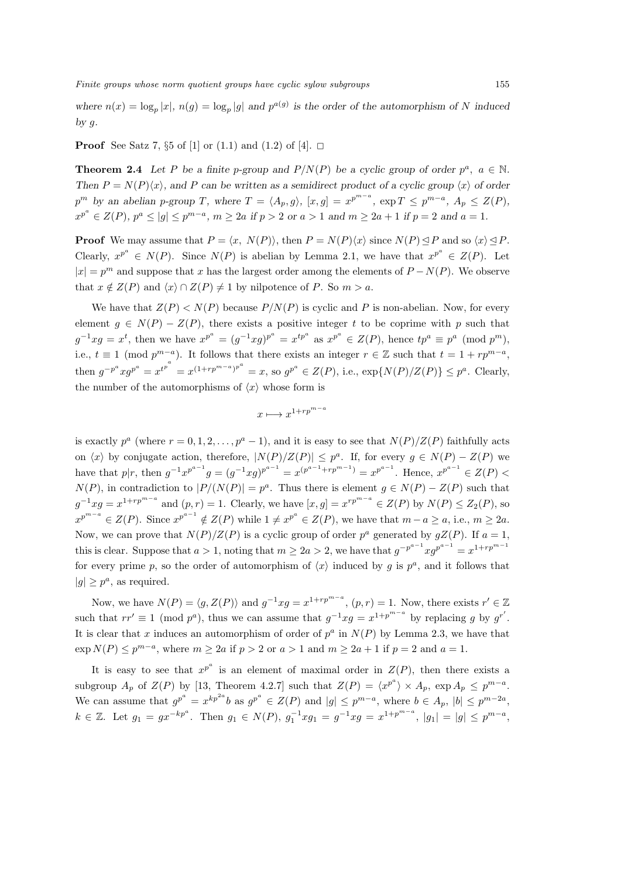where  $n(x) = \log_p |x|$ ,  $n(g) = \log_p |g|$  and  $p^{a(g)}$  is the order of the automorphism of N induced *by g.*

#### **Proof** See Satz 7,  $\S5$  of [1] or (1.1) and (1.2) of [4].  $\Box$

**Theorem 2.4** *Let P be a finite p*-group and  $P/N(P)$  *be a cyclic group of order*  $p^a$ ,  $a \in \mathbb{N}$ *. Then*  $P = N(P)(x)$ *, and P can be written as a semidirect product of a cyclic group*  $\langle x \rangle$  *of order*  $p^m$  by an abelian p-group T, where  $T = \langle A_p, g \rangle$ ,  $[x, g] = x^{p^{m-a}}$ ,  $\exp T \leq p^{m-a}$ ,  $A_p \leq Z(P)$ ,  $x^{p^a} \in Z(P)$ ,  $p^a \le |g| \le p^{m-a}$ ,  $m \ge 2a$  if  $p > 2$  or  $a > 1$  and  $m \ge 2a + 1$  if  $p = 2$  and  $a = 1$ .

**Proof** We may assume that  $P = \langle x, N(P) \rangle$ , then  $P = N(P) \langle x \rangle$  since  $N(P) \leq P$  and so  $\langle x \rangle \leq P$ . Clearly,  $x^{p^a} \in N(P)$ . Since  $N(P)$  is abelian by Lemma 2.1, we have that  $x^{p^a} \in Z(P)$ . Let  $|x| = p<sup>m</sup>$  and suppose that *x* has the largest order among the elements of *P* − *N*(*P*). We observe that  $x \notin Z(P)$  and  $\langle x \rangle \cap Z(P) \neq 1$  by nilpotence of *P*. So  $m > a$ .

We have that  $Z(P) < N(P)$  because  $P/N(P)$  is cyclic and P is non-abelian. Now, for every element  $g \in N(P) - Z(P)$ , there exists a positive integer *t* to be coprime with *p* such that  $g^{-1}xg = x^t$ , then we have  $x^{p^a} = (g^{-1}xg)^{p^a} = x^{tp^a}$  as  $x^{p^a} \in Z(P)$ , hence  $tp^a \equiv p^a \pmod{p^m}$ , i.e.,  $t \equiv 1 \pmod{p^{m-a}}$ . It follows that there exists an integer  $r \in \mathbb{Z}$  such that  $t = 1 + rp^{m-a}$ , then  $g^{-p^a} x g^{p^a} = x^{t^{p^a}} = x^{(1+rp^{m-a})^{p^a}} = x$ , so  $g^{p^a} \in Z(P)$ , i.e.,  $\exp\{N(P)/Z(P)\} \leq p^a$ . Clearly, the number of the automorphisms of  $\langle x \rangle$  whose form is

$$
x \longmapsto x^{1+rp^{m-a}}
$$

is exactly  $p^a$  (where  $r = 0, 1, 2, \ldots, p^a - 1$ ), and it is easy to see that  $N(P)/Z(P)$  faithfully acts on  $\langle x \rangle$  by conjugate action, therefore,  $|N(P)/Z(P)| \leq p^a$ . If, for every  $g \in N(P) - Z(P)$  we have that  $p|r$ , then  $g^{-1}x^{p^{a-1}}g = (g^{-1}xg)^{p^{a-1}} = x^{(p^{a-1}+rp^{m-1})} = x^{p^{a-1}}$ . Hence,  $x^{p^{a-1}} \in Z(P)$  $N(P)$ , in contradiction to  $|P/(N(P)| = p^a$ . Thus there is element  $g \in N(P) - Z(P)$  such that  $g^{-1}xg = x^{1+rp^{m-a}}$  and  $(p,r) = 1$ . Clearly, we have  $[x,g] = x^{rp^{m-a}} \in Z(P)$  by  $N(P) \le Z_2(P)$ , so  $x^{p^{m-a}} \in Z(P)$ . Since  $x^{p^{a-1}} \notin Z(P)$  while  $1 \neq x^{p^a} \in Z(P)$ , we have that  $m-a \geq a$ , i.e.,  $m \geq 2a$ . Now, we can prove that  $N(P)/Z(P)$  is a cyclic group of order  $p^a$  generated by  $gZ(P)$ . If  $a=1$ , this is clear. Suppose that  $a > 1$ , noting that  $m \ge 2a > 2$ , we have that  $g^{-p^{a-1}} x g^{p^{a-1}} = x^{1+rp^{m-1}}$ for every prime *p*, so the order of automorphism of  $\langle x \rangle$  induced by *g* is  $p^a$ , and it follows that  $|g| \geq p^a$ , as required.

Now, we have  $N(P) = \langle g, Z(P) \rangle$  and  $g^{-1}xg = x^{1+rp^{m-a}}$ ,  $(p, r) = 1$ . Now, there exists  $r' \in \mathbb{Z}$ such that  $rr' \equiv 1 \pmod{p^a}$ , thus we can assume that  $g^{-1}xg = x^{1+p^{m-a}}$  by replacing g by  $g^{r'}$ . It is clear that *x* induces an automorphism of order of  $p^a$  in  $N(P)$  by Lemma 2.3, we have that  $\exp N(P) \leq p^{m-a}$ , where  $m \geq 2a$  if  $p > 2$  or  $a > 1$  and  $m \geq 2a + 1$  if  $p = 2$  and  $a = 1$ .

It is easy to see that  $x^{p^a}$  is an element of maximal order in  $Z(P)$ , then there exists a subgroup  $A_p$  of  $Z(P)$  by [13, Theorem 4.2.7] such that  $Z(P) = \langle x^{p^a} \rangle \times A_p$ ,  $\exp A_p \leq p^{m-a}$ . We can assume that  $g^{p^a} = x^{kp^{2a}}b$  as  $g^{p^a} \in Z(P)$  and  $|g| \leq p^{m-a}$ , where  $b \in A_p$ ,  $|b| \leq p^{m-2a}$ ,  $k \in \mathbb{Z}$ . Let  $g_1 = gx^{-kp^a}$ . Then  $g_1 \in N(P)$ ,  $g_1^{-1}xg_1 = g^{-1}xg = x^{1+p^{m-a}}$ ,  $|g_1| = |g| \le p^{m-a}$ ,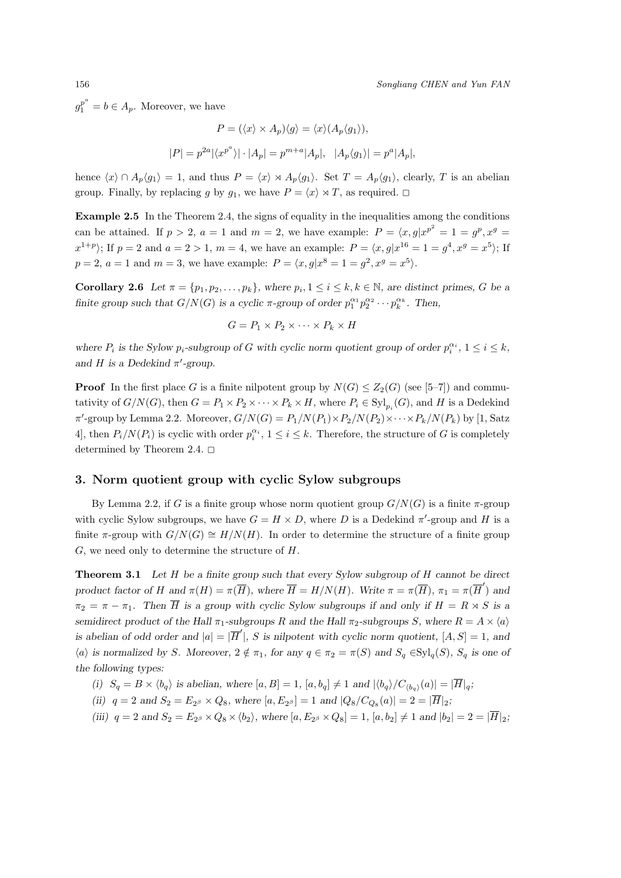$g_1^{p^a} = b \in A_p$ . Moreover, we have

$$
P = (\langle x \rangle \times A_p) \langle g \rangle = \langle x \rangle (A_p \langle g_1 \rangle),
$$
  

$$
|P| = p^{2a} |\langle x^{p^a} \rangle| \cdot |A_p| = p^{m+a} |A_p|, \ |A_p \langle g_1 \rangle| = p^a |A_p|,
$$

hence  $\langle x \rangle \cap A_p \langle g_1 \rangle = 1$ , and thus  $P = \langle x \rangle \rtimes A_p \langle g_1 \rangle$ . Set  $T = A_p \langle g_1 \rangle$ , clearly, T is an abelian group. Finally, by replacing *g* by  $g_1$ , we have  $P = \langle x \rangle \rtimes T$ , as required.  $\Box$ 

**Example 2.5** In the Theorem 2.4, the signs of equality in the inequalities among the conditions can be attained. If  $p > 2$ ,  $a = 1$  and  $m = 2$ , we have example:  $P = \langle x, g | x^{p^2} = 1 = g^p, x^g =$  $\langle x^{1+p} \rangle$ ; If  $p = 2$  and  $a = 2 > 1$ ,  $m = 4$ , we have an example:  $P = \langle x, g | x^{16} = 1 = g^4, x^g = x^5 \rangle$ ; If  $p = 2, a = 1 \text{ and } m = 3$ , we have example:  $P = \langle x, g | x^8 = 1 = g^2, x^g = x^5 \rangle$ .

**Corollary 2.6** Let  $\pi = \{p_1, p_2, \ldots, p_k\}$ , where  $p_i, 1 \leq i \leq k, k \in \mathbb{N}$ , are distinct primes, G be a *finite group such that*  $G/N(G)$  *is a cyclic*  $\pi$ -group of order  $p_1^{\alpha_1}p_2^{\alpha_2} \cdots p_k^{\alpha_k}$ . Then,

$$
G = P_1 \times P_2 \times \cdots \times P_k \times H
$$

where  $P_i$  is the Sylow  $p_i$ -subgroup of G with cyclic norm quotient group of order  $p_i^{\alpha_i}$ ,  $1 \le i \le k$ , and *H* is a Dedekind  $\pi$ <sup>'</sup>-group.

**Proof** In the first place *G* is a finite nilpotent group by  $N(G) \leq Z_2(G)$  (see [5–7]) and commutativity of  $G/N(G)$ , then  $G = P_1 \times P_2 \times \cdots \times P_k \times H$ , where  $P_i \in \text{Syl}_{p_i}(G)$ , and H is a Dedekind *π ′* -group by Lemma 2.2. Moreover, *G/N*(*G*) = *P*1*/N*(*P*1)*×P*2*/N*(*P*2)*×· · ·×Pk/N*(*Pk*) by [1, Satz 4, then  $P_i/N(P_i)$  is cyclic with order  $p_i^{\alpha_i}$ ,  $1 \le i \le k$ . Therefore, the structure of *G* is completely determined by Theorem 2.4.  $\Box$ 

## **3. Norm quotient group with cyclic Sylow subgroups**

By Lemma 2.2, if *G* is a finite group whose norm quotient group *G/N*(*G*) is a finite *π*-group with cyclic Sylow subgroups, we have  $G = H \times D$ , where *D* is a Dedekind  $\pi'$ -group and *H* is a finite  $\pi$ -group with  $G/N(G) \cong H/N(H)$ . In order to determine the structure of a finite group *G*, we need only to determine the structure of *H*.

**Theorem 3.1** *Let H be a finite group such that every Sylow subgroup of H cannot be direct* product factor of H and  $\pi(H) = \pi(\overline{H})$ , where  $\overline{H} = H/N(H)$ . Write  $\pi = \pi(\overline{H})$ ,  $\pi_1 = \pi(\overline{H}')$  and  $\pi_2 = \pi - \pi_1$ . Then  $\overline{H}$  is a group with cyclic Sylow subgroups if and only if  $H = R \rtimes S$  is a *semidirect product of the Hall*  $\pi_1$ -subgroups *R* and the Hall  $\pi_2$ -subgroups *S*, where  $R = A \times \langle a \rangle$ *is abelian of odd order and*  $|a| = |\overline{H}'|$ , *S is nilpotent with cyclic norm quotient*,  $[A, S] = 1$ *, and*  $\langle a \rangle$  is normalized by S. Moreover,  $2 \notin \pi_1$ , for any  $q \in \pi_2 = \pi(S)$  and  $S_q \in \text{Syl}_q(S)$ ,  $S_q$  is one of *the following types:*

- (i)  $S_q = B \times \langle b_q \rangle$  is abelian, where  $[a, B] = 1$ ,  $[a, b_q] \neq 1$  and  $|\langle b_q \rangle / C_{\langle b_q \rangle}(a)| = |\overline{H}|_q$ ;
- (ii)  $q = 2$  and  $S_2 = E_{2^{\beta}} \times Q_8$ , where  $[a, E_{2^{\beta}}] = 1$  and  $|Q_8/C_{Q_8}(a)| = 2 = |H|_2$ ;
- (iii)  $q = 2$  and  $S_2 = E_{2^{\beta}} \times Q_8 \times \langle b_2 \rangle$ , where  $[a, E_{2^{\beta}} \times Q_8] = 1$ ,  $[a, b_2] \neq 1$  and  $|b_2| = 2 = |H|_2$ ;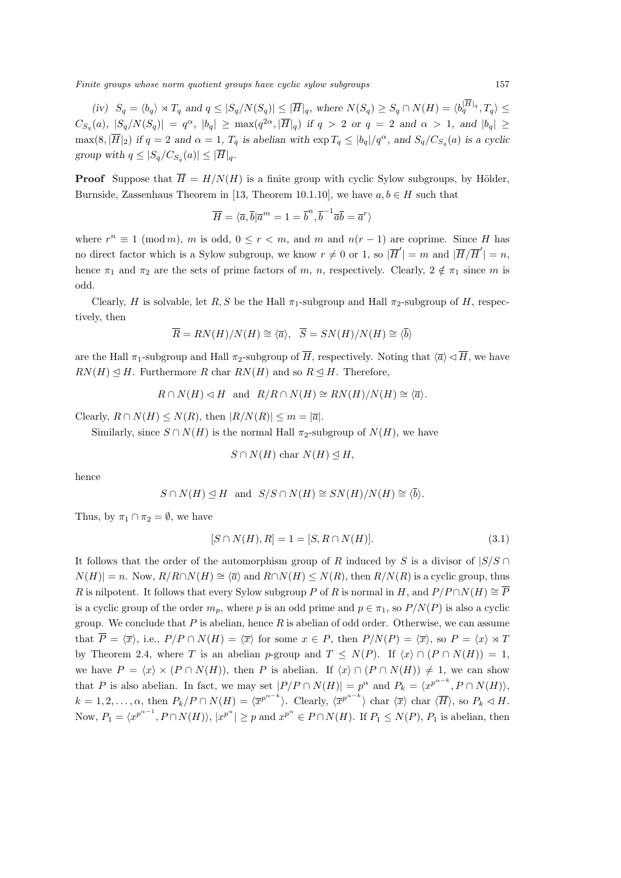*Finite groups whose norm quotient groups have cyclic sylow subgroups* 157

(iv)  $S_q = \langle b_q \rangle \rtimes T_q$  and  $q \leq |S_q/N(S_q)| \leq |\overline{H}|_q$ , where  $N(S_q) \geq S_q \cap N(H) = \langle b_q^{|H|_q}, T_q \rangle \leq$  $C_{S_q}(a)$ ,  $|S_q/N(S_q)| = q^{\alpha}$ ,  $|b_q| \ge \max(q^{2\alpha}, |\overline{H}|_q)$  if  $q > 2$  or  $q = 2$  and  $\alpha > 1$ , and  $|b_q| \ge$  $\max(8, |\overline{H}|_2)$  if  $q = 2$  and  $\alpha = 1$ ,  $T_q$  is abelian with  $\exp T_q \le |b_q|/q^{\alpha}$ , and  $S_q/C_{S_q}(a)$  is a cyclic *group with*  $q \leq |S_q/C_{S_q}(a)| \leq |H|_q$ .

**Proof** Suppose that  $\overline{H} = H/N(H)$  is a finite group with cyclic Sylow subgroups, by Hölder, Burnside, Zassenhaus Theorem in [13, Theorem 10.1.10], we have  $a, b \in H$  such that

$$
\overline{H}=\langle \overline{a}, \overline{b}|\overline{a}^m=1=\overline{b}^n, \overline{b}^{-1}\overline{a}\overline{b}=\overline{a}^r\rangle
$$

where  $r^n \equiv 1 \pmod{m}$ , *m* is odd,  $0 \leq r < m$ , and *m* and  $n(r-1)$  are coprime. Since *H* has no direct factor which is a Sylow subgroup, we know  $r \neq 0$  or 1, so  $|\overline{H}'| = m$  and  $|\overline{H}/\overline{H}'| = n$ , hence  $\pi_1$  and  $\pi_2$  are the sets of prime factors of *m*, *n*, respectively. Clearly,  $2 \notin \pi_1$  since *m* is odd.

Clearly, *H* is solvable, let *R*, *S* be the Hall  $\pi_1$ -subgroup and Hall  $\pi_2$ -subgroup of *H*, respectively, then

$$
\overline{R} = RN(H)/N(H) \cong \langle \overline{a} \rangle, \quad \overline{S} = SN(H)/N(H) \cong \langle \overline{b} \rangle
$$

are the Hall  $\pi_1$ -subgroup and Hall  $\pi_2$ -subgroup of  $\overline{H}$ , respectively. Noting that  $\langle \overline{a} \rangle \triangleleft \overline{H}$ , we have  $RN(H) \leq H$ . Furthermore *R* char  $RN(H)$  and so  $R \leq H$ . Therefore,

$$
R \cap N(H) \lhd H
$$
 and  $R/R \cap N(H) \cong RN(H)/N(H) \cong \langle \overline{a} \rangle$ .

 $C$ learly,  $R \cap N(H) \leq N(R)$ , then  $|R/N(R)| \leq m = |\overline{a}|$ .

Similarly, since  $S \cap N(H)$  is the normal Hall  $\pi_2$ -subgroup of  $N(H)$ , we have

$$
S \cap N(H) \text{ char } N(H) \leq H,
$$

hence

$$
S \cap N(H) \leq H \text{ and } S/S \cap N(H) \cong SN(H)/N(H) \cong \langle \overline{b} \rangle.
$$

Thus, by  $\pi_1 \cap \pi_2 = \emptyset$ , we have

$$
[S \cap N(H), R] = 1 = [S, R \cap N(H)].
$$
\n(3.1)

It follows that the order of the automorphism group of *R* induced by *S* is a divisor of  $|S/S \cap \mathbb{R}|$  $N(H) = n$ . Now,  $R/R \cap N(H) \cong \langle \overline{a} \rangle$  and  $R \cap N(H) \leq N(R)$ , then  $R/N(R)$  is a cyclic group, thus *R* is nilpotent. It follows that every Sylow subgroup *P* of *R* is normal in *H*, and  $P/P \cap N(H) \cong \overline{P}$ is a cyclic group of the order  $m_p$ , where *p* is an odd prime and  $p \in \pi_1$ , so  $P/N(P)$  is also a cyclic group. We conclude that *P* is abelian, hence *R* is abelian of odd order. Otherwise, we can assume that  $\overline{P} = \langle \overline{x} \rangle$ , i.e.,  $P/P \cap N(H) = \langle \overline{x} \rangle$  for some  $x \in P$ , then  $P/N(P) = \langle \overline{x} \rangle$ , so  $P = \langle x \rangle \rtimes T$ by Theorem 2.4, where *T* is an abelian *p*-group and  $T \leq N(P)$ . If  $\langle x \rangle \cap (P \cap N(H)) = 1$ , we have  $P = \langle x \rangle \times (P \cap N(H))$ , then *P* is abelian. If  $\langle x \rangle \cap (P \cap N(H)) \neq 1$ , we can show that P is also abelian. In fact, we may set  $|P/P \cap N(H)| = p^{\alpha}$  and  $P_k = \langle x^{p^{\alpha-k}}, P \cap N(H) \rangle$ ,  $k = 1, 2, ..., \alpha$ , then  $P_k/P \cap N(H) = \langle \overline{x}^{p^{\alpha-k}} \rangle$ . Clearly,  $\langle \overline{x}^{p^{\alpha-k}} \rangle$  char  $\langle \overline{x} \rangle$  char  $\langle \overline{H} \rangle$ , so  $P_k \lhd H$ . Now,  $P_1 = \langle x^{p^{\alpha-1}}, P \cap N(H) \rangle$ ,  $|x^{p^{\alpha}}| \ge p$  and  $x^{p^{\alpha}} \in P \cap N(H)$ . If  $P_1 \le N(P)$ ,  $P_1$  is abelian, then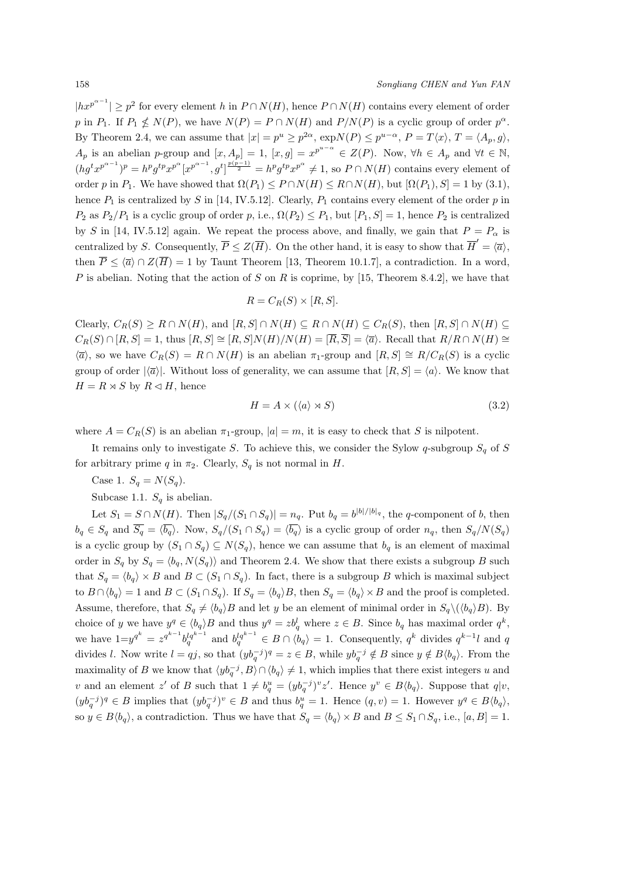$|h x^{p^{\alpha-1}}|$  ≥  $p^2$  for every element *h* in *P* ∩ *N*(*H*), hence *P* ∩ *N*(*H*) contains every element of order *p* in *P*<sub>1</sub>. If  $P_1 \nleq N(P)$ , we have  $N(P) = P \cap N(H)$  and  $P/N(P)$  is a cyclic group of order  $p^{\alpha}$ . By Theorem 2.4, we can assume that  $|x| = p^u \ge p^{2\alpha}$ ,  $\exp N(P) \le p^{u-\alpha}$ ,  $P = T\langle x \rangle$ ,  $T = \langle A_p, g \rangle$ ,  $A_p$  is an abelian p-group and  $[x, A_p] = 1$ ,  $[x, g] = x^{p^{u-\alpha}} \in Z(P)$ . Now,  $\forall h \in A_p$  and  $\forall t \in \mathbb{N}$ ,  $(hg^tx^{p^{\alpha-1}})^p = h^pg^{tp}x^{p^{\alpha}}[x^{p^{\alpha-1}}, g^t]^{\frac{p(p-1)}{2}} = h^pg^{tp}x^{p^{\alpha}} \neq 1$ , so  $P \cap N(H)$  contains every element of order *p* in *P*<sub>1</sub>. We have showed that  $\Omega(P_1) \leq P \cap N(H) \leq R \cap N(H)$ , but  $[\Omega(P_1), S] = 1$  by (3.1), hence  $P_1$  is centralized by *S* in [14, IV.5.12]. Clearly,  $P_1$  contains every element of the order  $p$  in *P*<sub>2</sub> as  $P_2/P_1$  is a cyclic group of order *p*, i.e.,  $\Omega(P_2) \leq P_1$ , but  $[P_1, S] = 1$ , hence  $P_2$  is centralized by *S* in [14, IV.5.12] again. We repeat the process above, and finally, we gain that  $P = P_\alpha$  is centralized by *S*. Consequently,  $\overline{P} \leq Z(\overline{H})$ . On the other hand, it is easy to show that  $\overline{H}' = \langle \overline{a} \rangle$ , then  $\overline{P} \leq \langle \overline{a} \rangle \cap Z(\overline{H}) = 1$  by Taunt Theorem [13, Theorem 10.1.7], a contradiction. In a word, *P* is abelian. Noting that the action of *S* on *R* is coprime, by [15, Theorem 8.4.2], we have that

$$
R = C_R(S) \times [R, S].
$$

Clearly,  $C_R(S) \ge R \cap N(H)$ , and  $[R, S] \cap N(H) \subseteq R \cap N(H) \subseteq C_R(S)$ , then  $[R, S] \cap N(H) \subseteq$  $C_R(S) \cap [R, S] = 1$ , thus  $[R, S] \cong [R, S]N(H)/N(H) = [\overline{R}, \overline{S}] = \langle \overline{a} \rangle$ . Recall that  $R/R \cap N(H) \cong$  $\langle \overline{a} \rangle$ *,* so we have  $C_R(S) = R ∩ N(H)$  is an abelian  $\pi_1$ -group and  $[R, S] \cong R/C_R(S)$  is a cyclic group of order  $|\langle \overline{a} \rangle|$ . Without loss of generality, we can assume that  $[R, S] = \langle a \rangle$ . We know that  $H = R \rtimes S$  by  $R \lhd H$ , hence

$$
H = A \times (\langle a \rangle \rtimes S) \tag{3.2}
$$

where  $A = C_R(S)$  is an abelian  $\pi_1$ -group,  $|a| = m$ , it is easy to check that *S* is nilpotent.

It remains only to investigate *S*. To achieve this, we consider the Sylow *q*-subgroup  $S_q$  of *S* for arbitrary prime *q* in  $\pi_2$ . Clearly,  $S_q$  is not normal in *H*.

Case 1.  $S_q = N(S_q)$ .

Subcase 1.1.  $S_q$  is abelian.

Let  $S_1 = S \cap N(H)$ . Then  $|S_q/(S_1 \cap S_q)| = n_q$ . Put  $b_q = b^{|b|/|b|_q}$ , the q-component of b, then  $b_q \in S_q$  and  $\overline{S_q} = \langle \overline{b_q} \rangle$ . Now,  $S_q/(S_1 \cap S_q) = \langle \overline{b_q} \rangle$  is a cyclic group of order  $n_q$ , then  $S_q/N(S_q)$ is a cyclic group by  $(S_1 \cap S_q) \subseteq N(S_q)$ , hence we can assume that  $b_q$  is an element of maximal order in  $S_q$  by  $S_q = \langle b_q, N(S_q) \rangle$  and Theorem 2.4. We show that there exists a subgroup *B* such that  $S_q = \langle b_q \rangle \times B$  and  $B \subset (S_1 \cap S_q)$ . In fact, there is a subgroup *B* which is maximal subject to  $B \cap \langle b_q \rangle = 1$  and  $B \subset (S_1 \cap S_q)$ . If  $S_q = \langle b_q \rangle B$ , then  $S_q = \langle b_q \rangle \times B$  and the proof is completed. Assume, therefore, that  $S_q \neq \langle b_q \rangle B$  and let *y* be an element of minimal order in  $S_q \setminus (\langle b_q \rangle B)$ . By choice of y we have  $y^q \in \langle b_q \rangle B$  and thus  $y^q = z b_q^l$  where  $z \in B$ . Since  $b_q$  has maximal order  $q^k$ , we have  $1=y^{q^k}=z^{q^{k-1}}b_q^{lq^{k-1}}$  and  $b_q^{lq^{k-1}}\in B\cap \langle b_q\rangle=1$ . Consequently,  $q^k$  divides  $q^{k-1}l$  and  $q$ divides l. Now write  $l = qj$ , so that  $(yb_q^{-j})^q = z \in B$ , while  $yb_q^{-j} \notin B$  since  $y \notin B\langle b_q \rangle$ . From the maximality of *B* we know that  $\langle y b_q^{-j}, B \rangle \cap \langle b_q \rangle \neq 1$ , which implies that there exist integers *u* and v and an element z' of B such that  $1 \neq b_q^u = (yb_q^{-j})^v z'$ . Hence  $y^v \in B\langle b_q \rangle$ . Suppose that  $q|v$ ,  $(yb_q^{-j})^q \in B$  implies that  $(yb_q^{-j})^v \in B$  and thus  $b_q^u = 1$ . Hence  $(q, v) = 1$ . However  $y^q \in B\langle b_q \rangle$ , so  $y \in B\langle b_q \rangle$ , a contradiction. Thus we have that  $S_q = \langle b_q \rangle \times B$  and  $B \leq S_1 \cap S_q$ , i.e.,  $[a, B] = 1$ .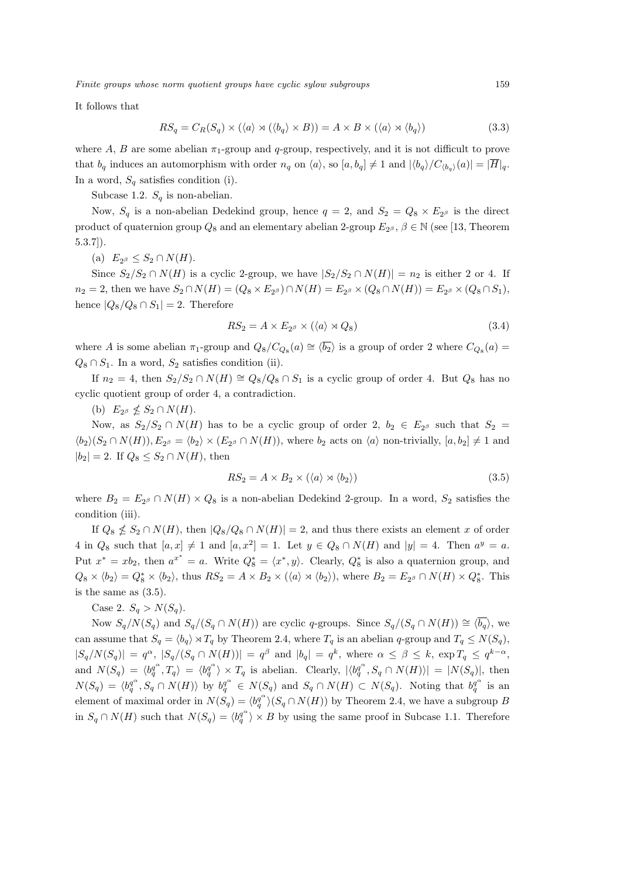*Finite groups whose norm quotient groups have cyclic sylow subgroups* 159

It follows that

$$
RS_q = C_R(S_q) \times (\langle a \rangle \rtimes (\langle b_q \rangle \times B)) = A \times B \times (\langle a \rangle \rtimes \langle b_q \rangle)
$$
\n(3.3)

where *A*, *B* are some abelian  $\pi_1$ -group and *q*-group, respectively, and it is not difficult to prove that  $b_q$  induces an automorphism with order  $n_q$  on  $\langle a \rangle$ , so  $[a, b_q] \neq 1$  and  $|\langle b_q \rangle / C_{\langle b_q \rangle}(a)| = |\overline{H}|_q$ . In a word,  $S_q$  satisfies condition (i).

Subcase 1.2.  $S_q$  is non-abelian.

Now,  $S_q$  is a non-abelian Dedekind group, hence  $q = 2$ , and  $S_2 = Q_8 \times E_{2^{\beta}}$  is the direct product of quaternion group  $Q_8$  and an elementary abelian 2-group  $E_{2^\beta}$ ,  $\beta \in \mathbb{N}$  (see [13, Theorem 5.3.7]).

 $(E_2 \circ \leq S_2 \cap N(H)).$ 

Since  $S_2/S_2 \cap N(H)$  is a cyclic 2-group, we have  $|S_2/S_2 \cap N(H)| = n_2$  is either 2 or 4. If  $n_2 = 2$ , then we have  $S_2 \cap N(H) = (Q_8 \times E_{2^{\beta}}) \cap N(H) = E_{2^{\beta}} \times (Q_8 \cap N(H)) = E_{2^{\beta}} \times (Q_8 \cap S_1)$ , hence  $|Q_8/Q_8 \cap S_1| = 2$ . Therefore

$$
RS_2 = A \times E_{2^{\beta}} \times (\langle a \rangle \rtimes Q_8) \tag{3.4}
$$

where *A* is some abelian  $\pi_1$ -group and  $Q_8/C_{Q_8}(a) \cong \langle \overline{b_2} \rangle$  is a group of order 2 where  $C_{Q_8}(a)$  =  $Q_8 \cap S_1$ . In a word,  $S_2$  satisfies condition (ii).

If  $n_2 = 4$ , then  $S_2/S_2 ∩ N(H) ≅ Q_8/Q_8 ∩ S_1$  is a cyclic group of order 4. But  $Q_8$  has no cyclic quotient group of order 4, a contradiction.

(b)  $E_{2^{\beta}} \nleq S_2 \cap N(H)$ .

Now, as  $S_2/S_2 \cap N(H)$  has to be a cyclic group of order 2,  $b_2 \in E_{2\beta}$  such that  $S_2 =$  $\langle b_2 \rangle (S_2 \cap N(H)), E_{2^{\beta}} = \langle b_2 \rangle \times (E_{2^{\beta}} \cap N(H)),$  where  $b_2$  acts on  $\langle a \rangle$  non-trivially,  $[a, b_2] \neq 1$  and  $|b_2| = 2$ . If  $Q_8 \leq S_2 ∩ N(H)$ , then

$$
RS_2 = A \times B_2 \times (\langle a \rangle \rtimes \langle b_2 \rangle) \tag{3.5}
$$

where  $B_2 = E_{2^{\beta}} \cap N(H) \times Q_8$  is a non-abelian Dedekind 2-group. In a word,  $S_2$  satisfies the condition (iii).

If  $Q_8 \nleq S_2 \cap N(H)$ , then  $|Q_8/Q_8 \cap N(H)| = 2$ , and thus there exists an element *x* of order 4 in  $Q_8$  such that  $[a, x] \neq 1$  and  $[a, x^2] = 1$ . Let  $y \in Q_8 \cap N(H)$  and  $|y| = 4$ . Then  $a^y = a$ . Put  $x^* = xb_2$ , then  $a^{x^*} = a$ . Write  $Q_8^* = \langle x^*, y \rangle$ . Clearly,  $Q_8^*$  is also a quaternion group, and  $Q_8 \times \langle b_2 \rangle = Q_8^* \times \langle b_2 \rangle$ , thus  $RS_2 = A \times B_2 \times (\langle a \rangle \times \langle b_2 \rangle)$ , where  $B_2 = E_{2^\beta} \cap N(H) \times Q_8^*$ . This is the same as (3.5).

Case 2.  $S_q > N(S_q)$ .

Now  $S_q/N(S_q)$  and  $S_q/(S_q \cap N(H))$  are cyclic q-groups. Since  $S_q/(S_q \cap N(H)) \cong \langle \overline{b_q} \rangle$ , we can assume that  $S_q = \langle b_q \rangle \rtimes T_q$  by Theorem 2.4, where  $T_q$  is an abelian *q*-group and  $T_q \le N(S_q)$ ,  $|S_q/N(S_q)| = q^{\alpha}, |S_q/(S_q \cap N(H))| = q^{\beta}$  and  $|b_q| = q^k$ , where  $\alpha \leq \beta \leq k$ ,  $\exp T_q \leq q^{k-\alpha}$ , and  $N(S_q) = \langle b_q^{q^{\alpha}}, T_q \rangle = \langle b_q^{q^{\alpha}} \rangle \times T_q$  is abelian. Clearly,  $|\langle b_q^{q^{\alpha}}, S_q \cap N(H) \rangle| = |N(S_q)|$ , then  $N(S_q) = \langle b_q^{q^{\alpha}}, S_q \cap N(H) \rangle$  by  $b_q^{q^{\alpha}} \in N(S_q)$  and  $S_q \cap N(H) \subset N(S_q)$ . Noting that  $b_q^{q^{\alpha}}$  is an element of maximal order in  $N(S_q) = \langle b_q^{q^{\alpha}} \rangle (S_q \cap N(H))$  by Theorem 2.4, we have a subgroup *B* in  $S_q \cap N(H)$  such that  $N(S_q) = \langle b_q^{q^{\alpha}} \rangle \times B$  by using the same proof in Subcase 1.1. Therefore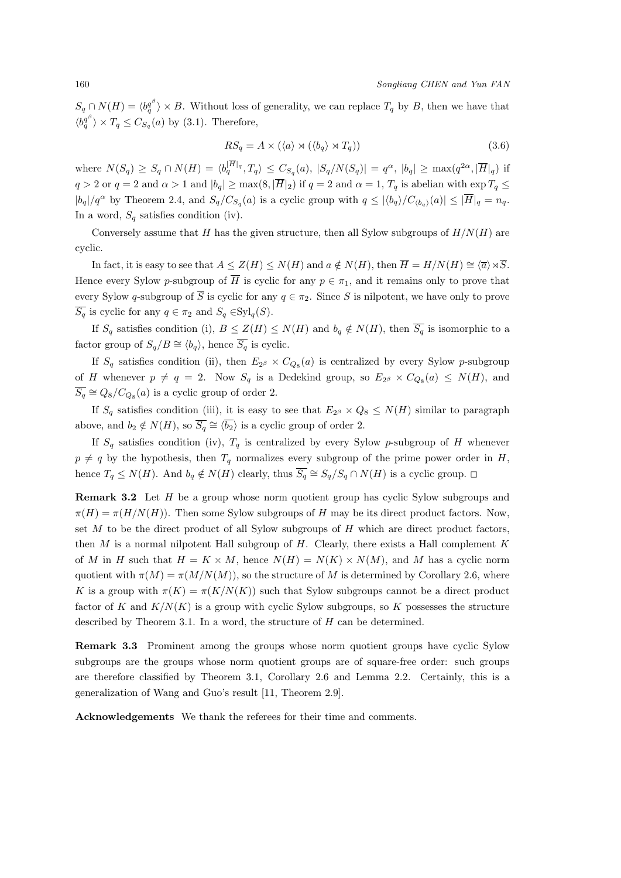$S_q \cap N(H) = \langle b_q^{q^{\beta}} \rangle \times B$ . Without loss of generality, we can replace  $T_q$  by *B*, then we have that  $\langle b_q^{q^\beta} \rangle \times T_q \leq C_{S_q}(a)$  by (3.1). Therefore,

$$
RS_q = A \times (\langle a \rangle \rtimes (\langle b_q \rangle \rtimes T_q)) \tag{3.6}
$$

where  $N(S_q) \geq S_q \cap N(H) = \langle b_q^{|H|_q}, T_q \rangle \leq C_{S_q}(a), |S_q/N(S_q)| = q^{\alpha}, |b_q| \geq \max(q^{2\alpha}, |\overline{H}|_q)$  if  $q > 2$  or  $q = 2$  and  $\alpha > 1$  and  $|b_q| \ge \max(8, |\overline{H}|_2)$  if  $q = 2$  and  $\alpha = 1$ ,  $T_q$  is abelian with  $\exp T_q \le$  $|b_q|/q^{\alpha}$  by Theorem 2.4, and  $S_q/C_{S_q}(a)$  is a cyclic group with  $q \leq |\langle b_q \rangle/C_{\langle b_q \rangle}(a)| \leq |\overline{H}|_q = n_q$ . In a word,  $S_q$  satisfies condition (iv).

Conversely assume that *H* has the given structure, then all Sylow subgroups of  $H/N(H)$  are cyclic.

In fact, it is easy to see that  $A \leq Z(H) \leq N(H)$  and  $a \notin N(H)$ , then  $\overline{H} = H/N(H) \cong \langle \overline{a} \rangle \rtimes \overline{S}$ . Hence every Sylow *p*-subgroup of  $\overline{H}$  is cyclic for any  $p \in \pi_1$ , and it remains only to prove that every Sylow *q*-subgroup of  $\overline{S}$  is cyclic for any  $q \in \pi_2$ . Since *S* is nilpotent, we have only to prove  $\overline{S_q}$  is cyclic for any  $q \in \pi_2$  and  $S_q \in Syl_q(S)$ .

If  $S_q$  satisfies condition (i),  $B \leq Z(H) \leq N(H)$  and  $b_q \notin N(H)$ , then  $\overline{S_q}$  is isomorphic to a factor group of  $S_q/B \cong \langle b_q \rangle$ , hence  $\overline{S_q}$  is cyclic.

If  $S_q$  satisfies condition (ii), then  $E_{2^\beta} \times C_{Q_8}(a)$  is centralized by every Sylow *p*-subgroup of *H* whenever  $p \neq q = 2$ . Now  $S_q$  is a Dedekind group, so  $E_{2\beta} \times C_{Q_8}(a) \leq N(H)$ , and  $\overline{S_q}$  ≅  $Q_8$ / $C_{Q_8}(a)$  is a cyclic group of order 2.

If  $S_q$  satisfies condition (iii), it is easy to see that  $E_{2^{\beta}} \times Q_8 \le N(H)$  similar to paragraph above, and  $b_2 \notin N(H)$ , so  $\overline{S_q} \cong \langle \overline{b_2} \rangle$  is a cyclic group of order 2.

If  $S_q$  satisfies condition (iv),  $T_q$  is centralized by every Sylow *p*-subgroup of *H* whenever  $p \neq q$  by the hypothesis, then  $T_q$  normalizes every subgroup of the prime power order in *H*, hence  $T_q \le N(H)$ . And  $b_q \notin N(H)$  clearly, thus  $\overline{S_q} \cong S_q/S_q \cap N(H)$  is a cyclic group.  $\Box$ 

**Remark 3.2** Let *H* be a group whose norm quotient group has cyclic Sylow subgroups and  $\pi(H) = \pi(H/N(H))$ . Then some Sylow subgroups of *H* may be its direct product factors. Now, set *M* to be the direct product of all Sylow subgroups of *H* which are direct product factors, then *M* is a normal nilpotent Hall subgroup of *H*. Clearly, there exists a Hall complement *K* of *M* in *H* such that  $H = K \times M$ , hence  $N(H) = N(K) \times N(M)$ , and *M* has a cyclic norm quotient with  $\pi(M) = \pi(M/N(M))$ , so the structure of M is determined by Corollary 2.6, where *K* is a group with  $\pi(K) = \pi(K/N(K))$  such that Sylow subgroups cannot be a direct product factor of  $K$  and  $K/N(K)$  is a group with cyclic Sylow subgroups, so  $K$  possesses the structure described by Theorem 3.1. In a word, the structure of *H* can be determined.

**Remark 3.3** Prominent among the groups whose norm quotient groups have cyclic Sylow subgroups are the groups whose norm quotient groups are of square-free order: such groups are therefore classified by Theorem 3.1, Corollary 2.6 and Lemma 2.2. Certainly, this is a generalization of Wang and Guo's result [11, Theorem 2.9].

**Acknowledgements** We thank the referees for their time and comments.